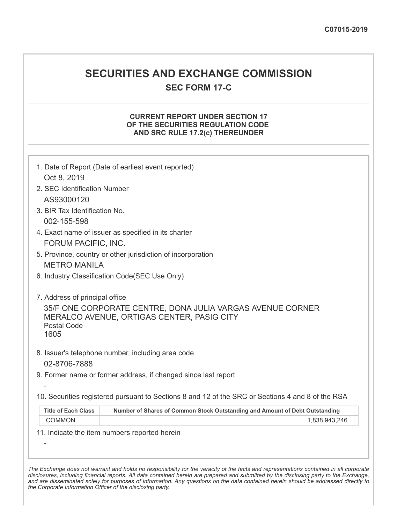## **SECURITIES AND EXCHANGE COMMISSION**

**SEC FORM 17-C**

## **CURRENT REPORT UNDER SECTION 17 OF THE SECURITIES REGULATION CODE AND SRC RULE 17.2(c) THEREUNDER**

| 1. Date of Report (Date of earliest event reported)<br>Oct 8, 2019                                |                                                                             |  |  |
|---------------------------------------------------------------------------------------------------|-----------------------------------------------------------------------------|--|--|
| 2. SEC Identification Number                                                                      |                                                                             |  |  |
| AS93000120                                                                                        |                                                                             |  |  |
| 3. BIR Tax Identification No.                                                                     |                                                                             |  |  |
| 002-155-598                                                                                       |                                                                             |  |  |
| 4. Exact name of issuer as specified in its charter                                               |                                                                             |  |  |
| FORUM PACIFIC, INC.                                                                               |                                                                             |  |  |
| 5. Province, country or other jurisdiction of incorporation                                       |                                                                             |  |  |
| <b>METRO MANILA</b>                                                                               |                                                                             |  |  |
| 6. Industry Classification Code(SEC Use Only)                                                     |                                                                             |  |  |
|                                                                                                   |                                                                             |  |  |
| 7. Address of principal office                                                                    |                                                                             |  |  |
|                                                                                                   | 35/F ONE CORPORATE CENTRE, DONA JULIA VARGAS AVENUE CORNER                  |  |  |
| <b>Postal Code</b>                                                                                | MERALCO AVENUE, ORTIGAS CENTER, PASIG CITY                                  |  |  |
| 1605                                                                                              |                                                                             |  |  |
|                                                                                                   |                                                                             |  |  |
|                                                                                                   | 8. Issuer's telephone number, including area code                           |  |  |
| 02-8706-7888                                                                                      |                                                                             |  |  |
| 9. Former name or former address, if changed since last report                                    |                                                                             |  |  |
|                                                                                                   |                                                                             |  |  |
| 10. Securities registered pursuant to Sections 8 and 12 of the SRC or Sections 4 and 8 of the RSA |                                                                             |  |  |
| <b>Title of Each Class</b>                                                                        | Number of Shares of Common Stock Outstanding and Amount of Debt Outstanding |  |  |
| COMMON                                                                                            | 1,838,943,246                                                               |  |  |
| 11. Indicate the item numbers reported herein                                                     |                                                                             |  |  |
|                                                                                                   |                                                                             |  |  |
|                                                                                                   |                                                                             |  |  |

The Exchange does not warrant and holds no responsibility for the veracity of the facts and representations contained in all corporate disclosures, including financial reports. All data contained herein are prepared and submitted by the disclosing party to the Exchange, and are disseminated solely for purposes of information. Any questions on the data contained herein should be addressed directly to *the Corporate Information Officer of the disclosing party.*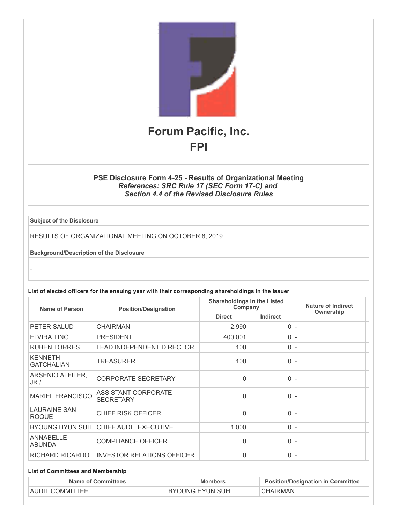

## **PSE Disclosure Form 4-25 - Results of Organizational Meeting** *References: SRC Rule 17 (SEC Form 17-C) and Section 4.4 of the Revised Disclosure Rules*

**Subject of the Disclosure**

-

RESULTS OF ORGANIZATIONAL MEETING ON OCTOBER 8, 2019

**Background/Description of the Disclosure**

**List of elected officers for the ensuing year with their corresponding shareholdings in the Issuer**

| <b>Name of Person</b>               | <b>Position/Designation</b>             | <b>Shareholdings in the Listed</b><br>Company |                 | Nature of Indirect       |
|-------------------------------------|-----------------------------------------|-----------------------------------------------|-----------------|--------------------------|
|                                     |                                         | <b>Direct</b>                                 | <b>Indirect</b> | Ownership                |
| PETER SALUD                         | <b>CHAIRMAN</b>                         | 2,990                                         | $\Omega$        |                          |
| <b>ELVIRA TING</b>                  | <b>PRESIDENT</b>                        | 400,001                                       | $\Omega$        | ٠                        |
| <b>RUBEN TORRES</b>                 | <b>LEAD INDEPENDENT DIRECTOR</b>        | 100                                           | $\overline{0}$  |                          |
| <b>KENNETH</b><br><b>GATCHALIAN</b> | <b>TREASURER</b>                        | 100                                           | $\Omega$        |                          |
| ARSENIO ALFILER,<br>$JR$ ./         | <b>CORPORATE SECRETARY</b>              | $\Omega$                                      | $\overline{0}$  |                          |
| <b>MARIEL FRANCISCO</b>             | ASSISTANT CORPORATE<br><b>SECRETARY</b> | $\Omega$                                      | $\Omega$        |                          |
| <b>LAURAINE SAN</b><br><b>ROQUE</b> | <b>CHIEF RISK OFFICER</b>               | $\Omega$                                      | $\Omega$        |                          |
| <b>BYOUNG HYUN SUH</b>              | <b>CHIEF AUDIT EXECUTIVE</b>            | 1,000                                         | $\overline{0}$  |                          |
| <b>ANNABELLE</b><br><b>ABUNDA</b>   | <b>COMPLIANCE OFFICER</b>               | 0                                             | 0               |                          |
| RICHARD RICARDO                     | <b>INVESTOR RELATIONS OFFICER</b>       | 0                                             | $\overline{0}$  | $\overline{\phantom{a}}$ |

## **List of Committees and Membership**

| <b>Name of Committees</b> | <b>Members</b>         | <b>Position/Designation in Committee</b> |
|---------------------------|------------------------|------------------------------------------|
| AUDIT COMMITTEE           | <b>BYOUNG HYUN SUH</b> | CHAIRMAN                                 |